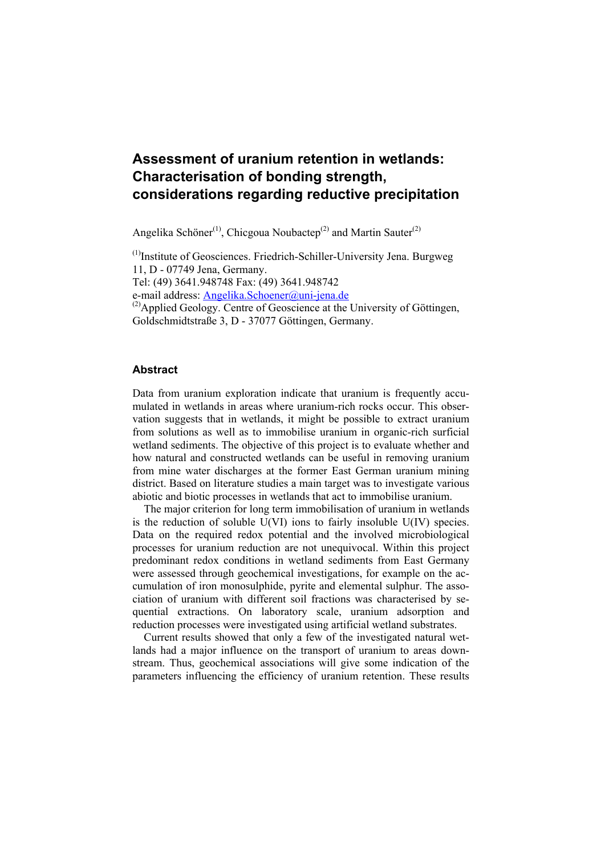# **Assessment of uranium retention in wetlands: Characterisation of bonding strength, considerations regarding reductive precipitation**

Angelika Schöner<sup>(1)</sup>, Chicgoua Noubactep<sup>(2)</sup> and Martin Sauter<sup>(2)</sup>

(1)Institute of Geosciences. Friedrich-Schiller-University Jena. Burgweg 11, D - 07749 Jena, Germany. Tel: (49) 3641.948748 Fax: (49) 3641.948742 e-mail address: Angelika.Schoener@uni-jena.de (2)Applied Geology. Centre of Geoscience at the University of Göttingen, Goldschmidtstraße 3, D - 37077 Göttingen, Germany.

#### **Abstract**

Data from uranium exploration indicate that uranium is frequently accumulated in wetlands in areas where uranium-rich rocks occur. This observation suggests that in wetlands, it might be possible to extract uranium from solutions as well as to immobilise uranium in organic-rich surficial wetland sediments. The objective of this project is to evaluate whether and how natural and constructed wetlands can be useful in removing uranium from mine water discharges at the former East German uranium mining district. Based on literature studies a main target was to investigate various abiotic and biotic processes in wetlands that act to immobilise uranium.

The major criterion for long term immobilisation of uranium in wetlands is the reduction of soluble  $U(VI)$  ions to fairly insoluble  $U(IV)$  species. Data on the required redox potential and the involved microbiological processes for uranium reduction are not unequivocal. Within this project predominant redox conditions in wetland sediments from East Germany were assessed through geochemical investigations, for example on the accumulation of iron monosulphide, pyrite and elemental sulphur. The association of uranium with different soil fractions was characterised by sequential extractions. On laboratory scale, uranium adsorption and reduction processes were investigated using artificial wetland substrates.

Current results showed that only a few of the investigated natural wetlands had a major influence on the transport of uranium to areas downstream. Thus, geochemical associations will give some indication of the parameters influencing the efficiency of uranium retention. These results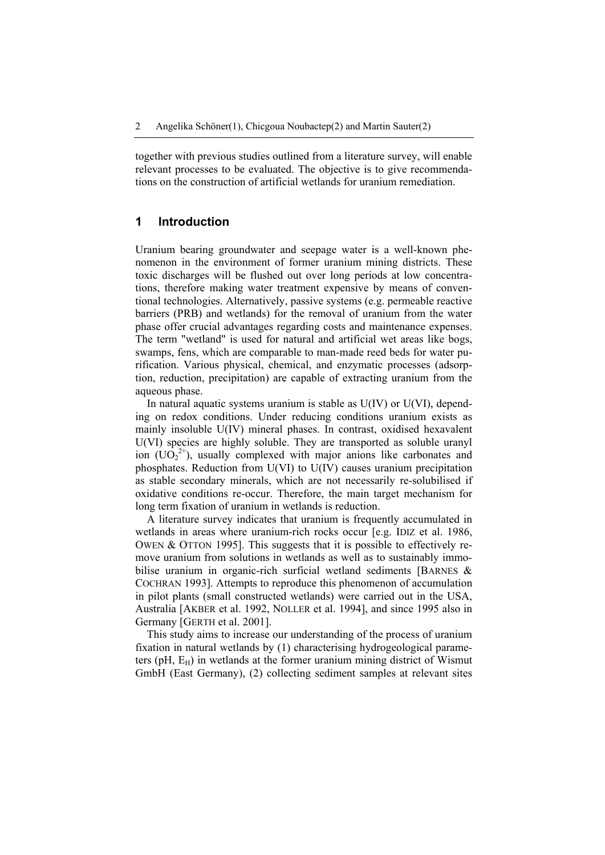together with previous studies outlined from a literature survey, will enable relevant processes to be evaluated. The objective is to give recommendations on the construction of artificial wetlands for uranium remediation.

# **1 Introduction**

Uranium bearing groundwater and seepage water is a well-known phenomenon in the environment of former uranium mining districts. These toxic discharges will be flushed out over long periods at low concentrations, therefore making water treatment expensive by means of conventional technologies. Alternatively, passive systems (e.g. permeable reactive barriers (PRB) and wetlands) for the removal of uranium from the water phase offer crucial advantages regarding costs and maintenance expenses. The term "wetland" is used for natural and artificial wet areas like bogs, swamps, fens, which are comparable to man-made reed beds for water purification. Various physical, chemical, and enzymatic processes (adsorption, reduction, precipitation) are capable of extracting uranium from the aqueous phase.

In natural aquatic systems uranium is stable as  $U(IV)$  or  $U(VI)$ , depending on redox conditions. Under reducing conditions uranium exists as mainly insoluble U(IV) mineral phases. In contrast, oxidised hexavalent U(VI) species are highly soluble. They are transported as soluble uranyl ion  $(UO_2^{2+})$ , usually complexed with major anions like carbonates and phosphates. Reduction from U(VI) to U(IV) causes uranium precipitation as stable secondary minerals, which are not necessarily re-solubilised if oxidative conditions re-occur. Therefore, the main target mechanism for long term fixation of uranium in wetlands is reduction.

A literature survey indicates that uranium is frequently accumulated in wetlands in areas where uranium-rich rocks occur [e.g. IDIZ et al. 1986, OWEN & OTTON 1995]. This suggests that it is possible to effectively remove uranium from solutions in wetlands as well as to sustainably immobilise uranium in organic-rich surficial wetland sediments [BARNES & COCHRAN 1993]. Attempts to reproduce this phenomenon of accumulation in pilot plants (small constructed wetlands) were carried out in the USA, Australia [AKBER et al. 1992, NOLLER et al. 1994], and since 1995 also in Germany [GERTH et al. 2001].

This study aims to increase our understanding of the process of uranium fixation in natural wetlands by (1) characterising hydrogeological parameters (pH,  $E_H$ ) in wetlands at the former uranium mining district of Wismut GmbH (East Germany), (2) collecting sediment samples at relevant sites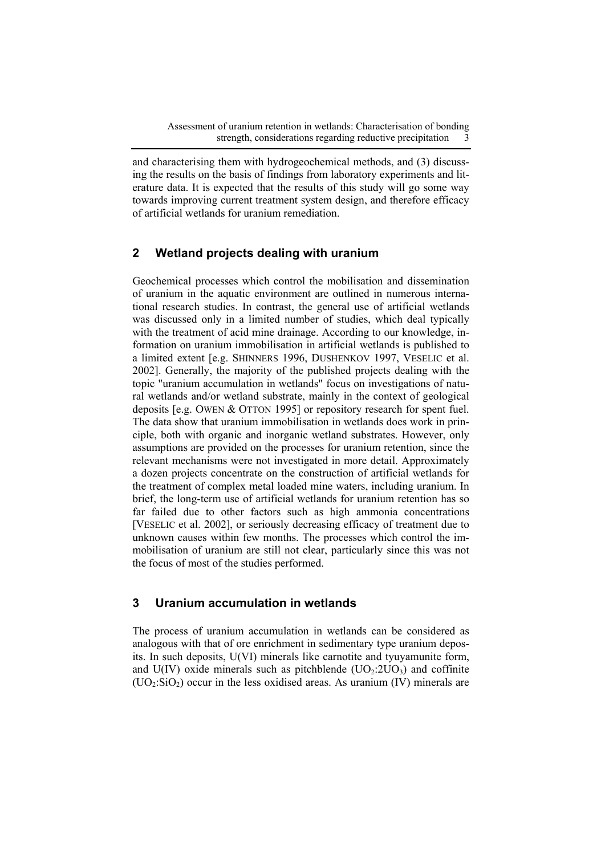and characterising them with hydrogeochemical methods, and (3) discussing the results on the basis of findings from laboratory experiments and literature data. It is expected that the results of this study will go some way towards improving current treatment system design, and therefore efficacy of artificial wetlands for uranium remediation.

# **2 Wetland projects dealing with uranium**

Geochemical processes which control the mobilisation and dissemination of uranium in the aquatic environment are outlined in numerous international research studies. In contrast, the general use of artificial wetlands was discussed only in a limited number of studies, which deal typically with the treatment of acid mine drainage. According to our knowledge, information on uranium immobilisation in artificial wetlands is published to a limited extent [e.g. SHINNERS 1996, DUSHENKOV 1997, VESELIC et al. 2002]. Generally, the majority of the published projects dealing with the topic "uranium accumulation in wetlands" focus on investigations of natural wetlands and/or wetland substrate, mainly in the context of geological deposits [e.g. OWEN & OTTON 1995] or repository research for spent fuel. The data show that uranium immobilisation in wetlands does work in principle, both with organic and inorganic wetland substrates. However, only assumptions are provided on the processes for uranium retention, since the relevant mechanisms were not investigated in more detail. Approximately a dozen projects concentrate on the construction of artificial wetlands for the treatment of complex metal loaded mine waters, including uranium. In brief, the long-term use of artificial wetlands for uranium retention has so far failed due to other factors such as high ammonia concentrations [VESELIC et al. 2002], or seriously decreasing efficacy of treatment due to unknown causes within few months. The processes which control the immobilisation of uranium are still not clear, particularly since this was not the focus of most of the studies performed.

# **3 Uranium accumulation in wetlands**

The process of uranium accumulation in wetlands can be considered as analogous with that of ore enrichment in sedimentary type uranium deposits. In such deposits, U(VI) minerals like carnotite and tyuyamunite form, and  $U(IV)$  oxide minerals such as pitchblende  $(UO<sub>2</sub>:2UO<sub>3</sub>)$  and coffinite  $(UO<sub>2</sub>:SiO<sub>2</sub>)$  occur in the less oxidised areas. As uranium (IV) minerals are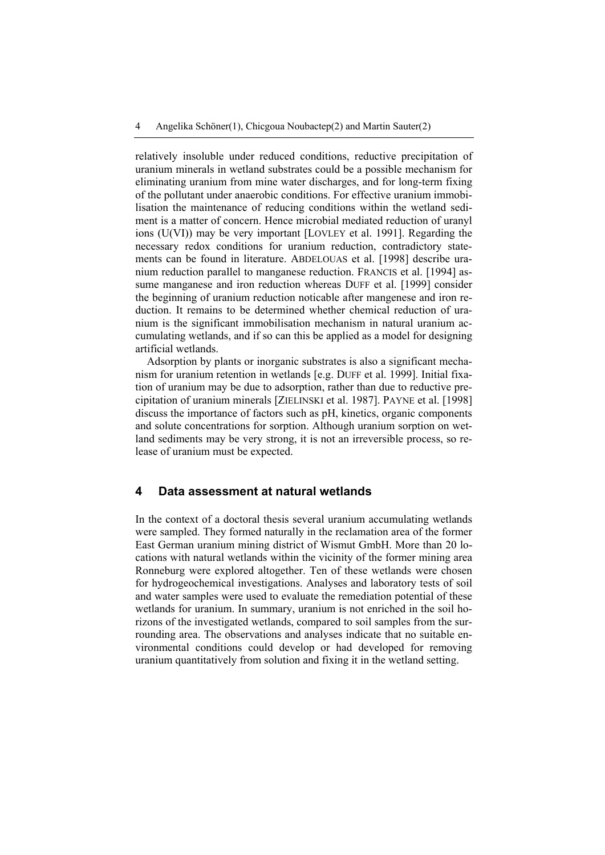relatively insoluble under reduced conditions, reductive precipitation of uranium minerals in wetland substrates could be a possible mechanism for eliminating uranium from mine water discharges, and for long-term fixing of the pollutant under anaerobic conditions. For effective uranium immobilisation the maintenance of reducing conditions within the wetland sediment is a matter of concern. Hence microbial mediated reduction of uranyl ions (U(VI)) may be very important [LOVLEY et al. 1991]. Regarding the necessary redox conditions for uranium reduction, contradictory statements can be found in literature. ABDELOUAS et al. [1998] describe uranium reduction parallel to manganese reduction. FRANCIS et al. [1994] assume manganese and iron reduction whereas DUFF et al. [1999] consider the beginning of uranium reduction noticable after mangenese and iron reduction. It remains to be determined whether chemical reduction of uranium is the significant immobilisation mechanism in natural uranium accumulating wetlands, and if so can this be applied as a model for designing artificial wetlands.

Adsorption by plants or inorganic substrates is also a significant mechanism for uranium retention in wetlands [e.g. DUFF et al. 1999]. Initial fixation of uranium may be due to adsorption, rather than due to reductive precipitation of uranium minerals [ZIELINSKI et al. 1987]. PAYNE et al. [1998] discuss the importance of factors such as pH, kinetics, organic components and solute concentrations for sorption. Although uranium sorption on wetland sediments may be very strong, it is not an irreversible process, so release of uranium must be expected.

#### **4 Data assessment at natural wetlands**

In the context of a doctoral thesis several uranium accumulating wetlands were sampled. They formed naturally in the reclamation area of the former East German uranium mining district of Wismut GmbH. More than 20 locations with natural wetlands within the vicinity of the former mining area Ronneburg were explored altogether. Ten of these wetlands were chosen for hydrogeochemical investigations. Analyses and laboratory tests of soil and water samples were used to evaluate the remediation potential of these wetlands for uranium. In summary, uranium is not enriched in the soil horizons of the investigated wetlands, compared to soil samples from the surrounding area. The observations and analyses indicate that no suitable environmental conditions could develop or had developed for removing uranium quantitatively from solution and fixing it in the wetland setting.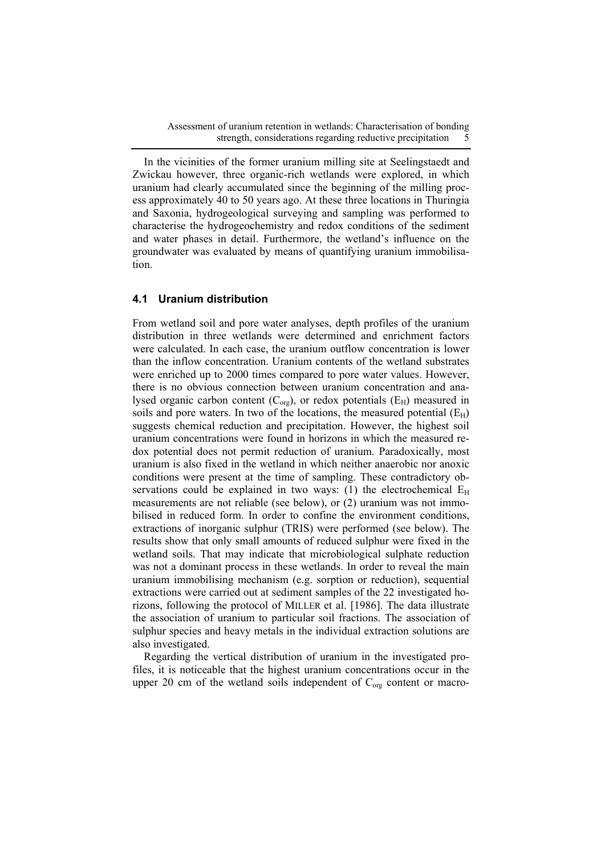Assessment of uranium retention in wetlands: Characterisation of bonding strength, considerations regarding reductive precipitation

In the vicinities of the former uranium milling site at Seelingstaedt and Zwickau however, three organic-rich wetlands were explored, in which uranium had clearly accumulated since the beginning of the milling process approximately 40 to 50 years ago. At these three locations in Thuringia and Saxonia, hydrogeological surveying and sampling was performed to characterise the hydrogeochemistry and redox conditions of the sediment and water phases in detail. Furthermore, the wetland's influence on the groundwater was evaluated by means of quantifying uranium immobilisation.

#### **4.1 Uranium distribution**

From wetland soil and pore water analyses, depth profiles of the uranium distribution in three wetlands were determined and enrichment factors were calculated. In each case, the uranium outflow concentration is lower than the inflow concentration. Uranium contents of the wetland substrates were enriched up to 2000 times compared to pore water values. However, there is no obvious connection between uranium concentration and analysed organic carbon content  $(C_{org})$ , or redox potentials  $(E_H)$  measured in soils and pore waters. In two of the locations, the measured potential  $(E_H)$ suggests chemical reduction and precipitation. However, the highest soil uranium concentrations were found in horizons in which the measured redox potential does not permit reduction of uranium. Paradoxically, most uranium is also fixed in the wetland in which neither anaerobic nor anoxic conditions were present at the time of sampling. These contradictory observations could be explained in two ways: (1) the electrochemical  $E_H$ measurements are not reliable (see below), or (2) uranium was not immobilised in reduced form. In order to confine the environment conditions, extractions of inorganic sulphur (TRIS) were performed (see below). The results show that only small amounts of reduced sulphur were fixed in the wetland soils. That may indicate that microbiological sulphate reduction was not a dominant process in these wetlands. In order to reveal the main uranium immobilising mechanism (e.g. sorption or reduction), sequential extractions were carried out at sediment samples of the 22 investigated horizons, following the protocol of MILLER et al. [1986]. The data illustrate the association of uranium to particular soil fractions. The association of sulphur species and heavy metals in the individual extraction solutions are also investigated.

Regarding the vertical distribution of uranium in the investigated profiles, it is noticeable that the highest uranium concentrations occur in the upper 20 cm of the wetland soils independent of  $C_{org}$  content or macro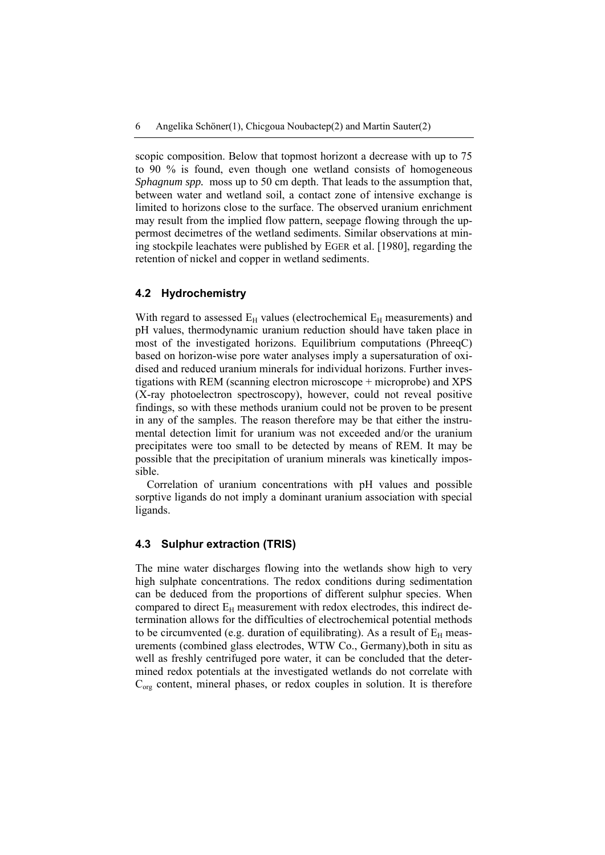scopic composition. Below that topmost horizont a decrease with up to 75 to 90 % is found, even though one wetland consists of homogeneous *Sphagnum spp.* moss up to 50 cm depth. That leads to the assumption that, between water and wetland soil, a contact zone of intensive exchange is limited to horizons close to the surface. The observed uranium enrichment may result from the implied flow pattern, seepage flowing through the uppermost decimetres of the wetland sediments. Similar observations at mining stockpile leachates were published by EGER et al. [1980], regarding the retention of nickel and copper in wetland sediments.

#### **4.2 Hydrochemistry**

With regard to assessed  $E_H$  values (electrochemical  $E_H$  measurements) and pH values, thermodynamic uranium reduction should have taken place in most of the investigated horizons. Equilibrium computations (PhreeqC) based on horizon-wise pore water analyses imply a supersaturation of oxidised and reduced uranium minerals for individual horizons. Further investigations with REM (scanning electron microscope + microprobe) and XPS (X-ray photoelectron spectroscopy), however, could not reveal positive findings, so with these methods uranium could not be proven to be present in any of the samples. The reason therefore may be that either the instrumental detection limit for uranium was not exceeded and/or the uranium precipitates were too small to be detected by means of REM. It may be possible that the precipitation of uranium minerals was kinetically impossible.

Correlation of uranium concentrations with pH values and possible sorptive ligands do not imply a dominant uranium association with special ligands.

#### **4.3 Sulphur extraction (TRIS)**

The mine water discharges flowing into the wetlands show high to very high sulphate concentrations. The redox conditions during sedimentation can be deduced from the proportions of different sulphur species. When compared to direct  $E_H$  measurement with redox electrodes, this indirect determination allows for the difficulties of electrochemical potential methods to be circumvented (e.g. duration of equilibrating). As a result of  $E_H$  measurements (combined glass electrodes, WTW Co., Germany),both in situ as well as freshly centrifuged pore water, it can be concluded that the determined redox potentials at the investigated wetlands do not correlate with  $C_{org}$  content, mineral phases, or redox couples in solution. It is therefore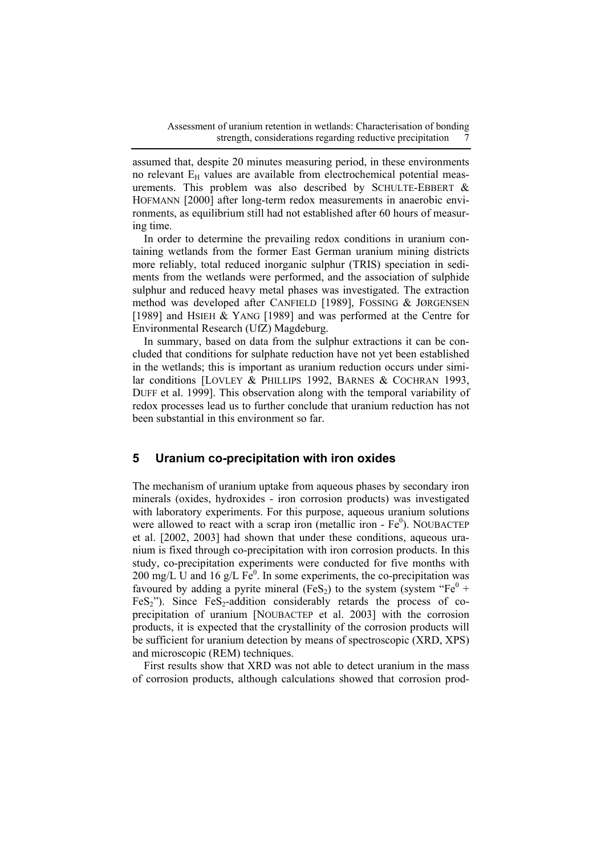assumed that, despite 20 minutes measuring period, in these environments no relevant  $E_H$  values are available from electrochemical potential measurements. This problem was also described by SCHULTE-EBBERT & HOFMANN [2000] after long-term redox measurements in anaerobic environments, as equilibrium still had not established after 60 hours of measuring time.

In order to determine the prevailing redox conditions in uranium containing wetlands from the former East German uranium mining districts more reliably, total reduced inorganic sulphur (TRIS) speciation in sediments from the wetlands were performed, and the association of sulphide sulphur and reduced heavy metal phases was investigated. The extraction method was developed after CANFIELD [1989], FOSSING & JØRGENSEN [1989] and HSIEH & YANG [1989] and was performed at the Centre for Environmental Research (UfZ) Magdeburg.

In summary, based on data from the sulphur extractions it can be concluded that conditions for sulphate reduction have not yet been established in the wetlands; this is important as uranium reduction occurs under similar conditions [LOVLEY & PHILLIPS 1992, BARNES & COCHRAN 1993, DUFF et al. 1999]. This observation along with the temporal variability of redox processes lead us to further conclude that uranium reduction has not been substantial in this environment so far.

## **5 Uranium co-precipitation with iron oxides**

The mechanism of uranium uptake from aqueous phases by secondary iron minerals (oxides, hydroxides - iron corrosion products) was investigated with laboratory experiments. For this purpose, aqueous uranium solutions were allowed to react with a scrap iron (metallic iron -  $Fe<sup>0</sup>$ ). NOUBACTEP et al. [2002, 2003] had shown that under these conditions, aqueous uranium is fixed through co-precipitation with iron corrosion products. In this study, co-precipitation experiments were conducted for five months with 200 mg/L U and 16 g/L  $Fe<sup>0</sup>$ . In some experiments, the co-precipitation was favoured by adding a pyrite mineral (FeS<sub>2</sub>) to the system (system "Fe<sup>0</sup> +  $FeS<sub>2</sub>$ "). Since  $FeS<sub>2</sub>$ -addition considerably retards the process of coprecipitation of uranium [NOUBACTEP et al. 2003] with the corrosion products, it is expected that the crystallinity of the corrosion products will be sufficient for uranium detection by means of spectroscopic (XRD, XPS) and microscopic (REM) techniques.

First results show that XRD was not able to detect uranium in the mass of corrosion products, although calculations showed that corrosion prod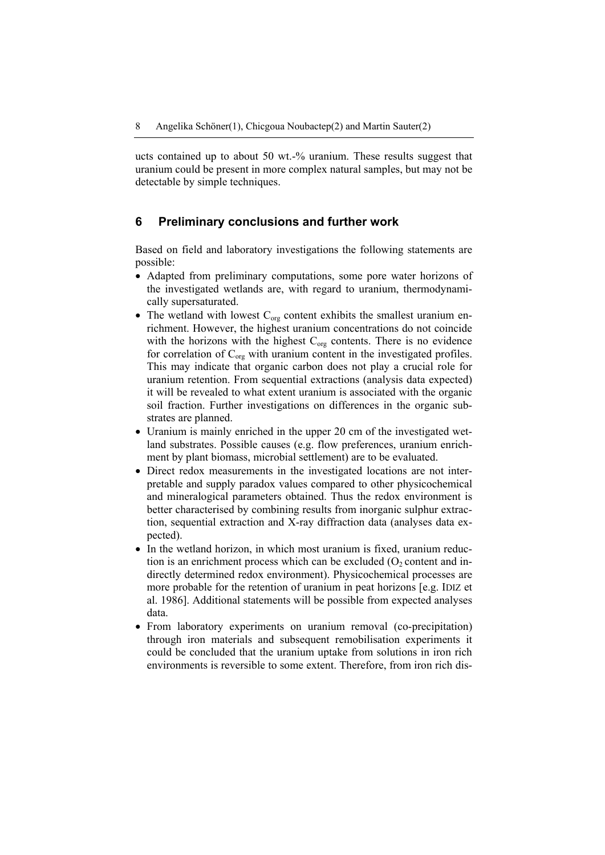ucts contained up to about 50 wt.-% uranium. These results suggest that uranium could be present in more complex natural samples, but may not be detectable by simple techniques.

## **6 Preliminary conclusions and further work**

Based on field and laboratory investigations the following statements are possible:

- Adapted from preliminary computations, some pore water horizons of the investigated wetlands are, with regard to uranium, thermodynamically supersaturated.
- The wetland with lowest  $C_{org}$  content exhibits the smallest uranium enrichment. However, the highest uranium concentrations do not coincide with the horizons with the highest  $C_{org}$  contents. There is no evidence for correlation of  $C_{org}$  with uranium content in the investigated profiles. This may indicate that organic carbon does not play a crucial role for uranium retention. From sequential extractions (analysis data expected) it will be revealed to what extent uranium is associated with the organic soil fraction. Further investigations on differences in the organic substrates are planned.
- Uranium is mainly enriched in the upper 20 cm of the investigated wetland substrates. Possible causes (e.g. flow preferences, uranium enrichment by plant biomass, microbial settlement) are to be evaluated.
- Direct redox measurements in the investigated locations are not interpretable and supply paradox values compared to other physicochemical and mineralogical parameters obtained. Thus the redox environment is better characterised by combining results from inorganic sulphur extraction, sequential extraction and X-ray diffraction data (analyses data expected).
- In the wetland horizon, in which most uranium is fixed, uranium reduction is an enrichment process which can be excluded  $(O<sub>2</sub>$  content and indirectly determined redox environment). Physicochemical processes are more probable for the retention of uranium in peat horizons [e.g. IDIZ et al. 1986]. Additional statements will be possible from expected analyses data.
- From laboratory experiments on uranium removal (co-precipitation) through iron materials and subsequent remobilisation experiments it could be concluded that the uranium uptake from solutions in iron rich environments is reversible to some extent. Therefore, from iron rich dis-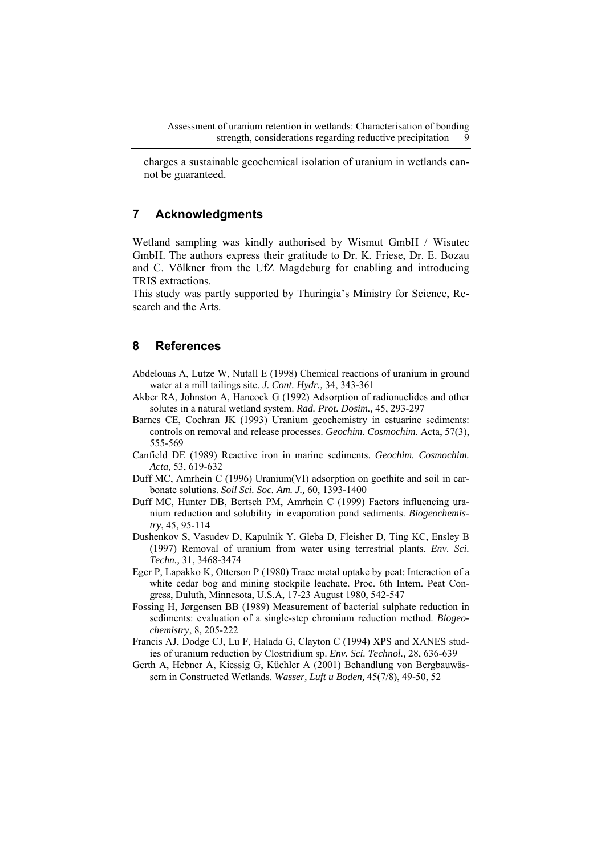charges a sustainable geochemical isolation of uranium in wetlands cannot be guaranteed.

## **7 Acknowledgments**

Wetland sampling was kindly authorised by Wismut GmbH / Wisutec GmbH. The authors express their gratitude to Dr. K. Friese, Dr. E. Bozau and C. Völkner from the UfZ Magdeburg for enabling and introducing TRIS extractions.

This study was partly supported by Thuringia's Ministry for Science, Research and the Arts.

# **8 References**

- Abdelouas A, Lutze W, Nutall E (1998) Chemical reactions of uranium in ground water at a mill tailings site. *J. Cont. Hydr.,* 34, 343-361
- Akber RA, Johnston A, Hancock G (1992) Adsorption of radionuclides and other solutes in a natural wetland system. *Rad. Prot. Dosim.,* 45, 293-297
- Barnes CE, Cochran JK (1993) Uranium geochemistry in estuarine sediments: controls on removal and release processes. *Geochim. Cosmochim.* Acta, 57(3), 555-569
- Canfield DE (1989) Reactive iron in marine sediments. *Geochim. Cosmochim. Acta,* 53, 619-632
- Duff MC, Amrhein C (1996) Uranium(VI) adsorption on goethite and soil in carbonate solutions. *Soil Sci. Soc. Am. J.,* 60, 1393-1400
- Duff MC, Hunter DB, Bertsch PM, Amrhein C (1999) Factors influencing uranium reduction and solubility in evaporation pond sediments. *Biogeochemistry*, 45, 95-114
- Dushenkov S, Vasudev D, Kapulnik Y, Gleba D, Fleisher D, Ting KC, Ensley B (1997) Removal of uranium from water using terrestrial plants. *Env. Sci. Techn.,* 31, 3468-3474
- Eger P, Lapakko K, Otterson P (1980) Trace metal uptake by peat: Interaction of a white cedar bog and mining stockpile leachate. Proc. 6th Intern. Peat Congress, Duluth, Minnesota, U.S.A, 17-23 August 1980, 542-547
- Fossing H, Jørgensen BB (1989) Measurement of bacterial sulphate reduction in sediments: evaluation of a single-step chromium reduction method. *Biogeochemistry*, 8, 205-222
- Francis AJ, Dodge CJ, Lu F, Halada G, Clayton C (1994) XPS and XANES studies of uranium reduction by Clostridium sp. *Env. Sci. Technol.,* 28, 636-639
- Gerth A, Hebner A, Kiessig G, Küchler A (2001) Behandlung von Bergbauwässern in Constructed Wetlands. *Wasser, Luft u Boden,* 45(7/8), 49-50, 52